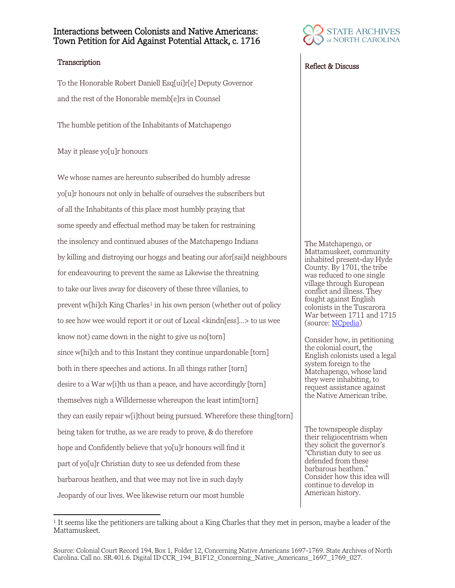## Interactions between Colonists and Native Americans: Town Petition for Aid Against Potential Attack, c. 1716

To the Honorable Robert Daniell Esq[ui]r[e] Deputy Governor and the rest of the Honorable memb[e]rs in Counsel

The humble petition of the Inhabitants of Matchapengo

May it please yo[u]r honours

We whose names are hereunto subscribed do humbly adresse yo[u]r honours not only in behalfe of ourselves the subscribers but of all the Inhabitants of this place most humbly praying that some speedy and effectual method may be taken for restraining the insolency and continued abuses of the Matchapengo Indians by killing and distroying our hoggs and beating our afor[sai]d neighbours for endeavouring to prevent the same as Likewise the threatning to take our lives away for discovery of these three villanies, to prevent w[hi]ch King Charles<sup>[1](#page-0-0)</sup> in his own person (whether out of policy to see how wee would report it or out of Local <kindn[ess]...> to us wee know not) came down in the night to give us no[torn] since w[hi]ch and to this Instant they continue unpardonable [torn] both in there speeches and actions. In all things rather [torn] desire to a War w[i]th us than a peace, and have accordingly [torn] themselves nigh a Willdernesse whereupon the least intim[torn] they can easily repair w[i]thout being pursued. Wherefore these thing[torn] being taken for truthe, as we are ready to prove, & do therefore hope and Confidently believe that yo[u]r honours will find it part of yo[u]r Christian duty to see us defended from these barbarous heathen, and that wee may not live in such dayly Jeopardy of our lives. Wee likewise return our most humble



## Transcription Reflect & Discuss

The Matchapengo, or Mattamuskeet, community inhabited present-day Hyde County. By 1701, the tribe was reduced to one single village through European conflict and illness. They fought against English colonists in the Tuscarora War between 1711 and 1715 (source: **NCpedia**)

Consider how, in petitioning the colonial court, the English colonists used a legal system foreign to the Matchapengo, whose land they were inhabiting, to request assistance against the Native American tribe.

The townspeople display their religiocentrism when they solicit the governor's "Christian duty to see us defended from these barbarous heathen." Consider how this idea will continue to develop in American history.

<span id="page-0-0"></span><sup>&</sup>lt;sup>1</sup> It seems like the petitioners are talking about a King Charles that they met in person, maybe a leader of the Mattamuskeet.